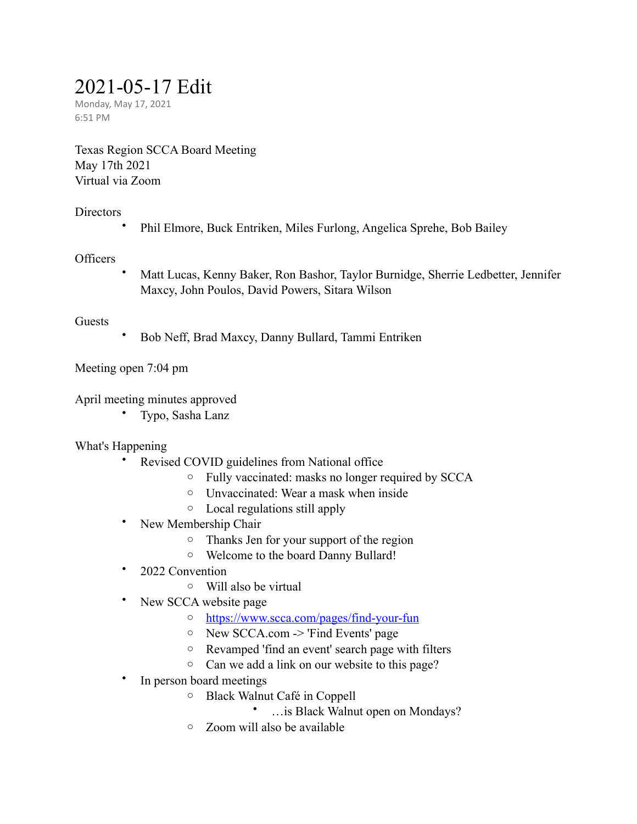# 2021-05-17 Edit

Monday, May 17, 2021 6:51 PM

Texas Region SCCA Board Meeting May 17th 2021 Virtual via Zoom

## **Directors**

• Phil Elmore, Buck Entriken, Miles Furlong, Angelica Sprehe, Bob Bailey

## **Officers**

• Matt Lucas, Kenny Baker, Ron Bashor, Taylor Burnidge, Sherrie Ledbetter, Jennifer Maxcy, John Poulos, David Powers, Sitara Wilson

## Guests

• Bob Neff, Brad Maxcy, Danny Bullard, Tammi Entriken

Meeting open 7:04 pm

April meeting minutes approved

• Typo, Sasha Lanz

## What's Happening

- Revised COVID guidelines from National office
	- o Fully vaccinated: masks no longer required by SCCA
	- o Unvaccinated: Wear a mask when inside
	- o Local regulations still apply
- New Membership Chair
	- o Thanks Jen for your support of the region
	- o Welcome to the board Danny Bullard!
- 2022 Convention
	- o Will also be virtual
- New SCCA website page
	- o <https://www.scca.com/pages/find-your-fun>
	- o New SCCA.com -> 'Find Events' page
	- o Revamped 'find an event' search page with filters
	- o Can we add a link on our website to this page?
- In person board meetings
	- o Black Walnut Café in Coppell
		- …is Black Walnut open on Mondays?
	- o Zoom will also be available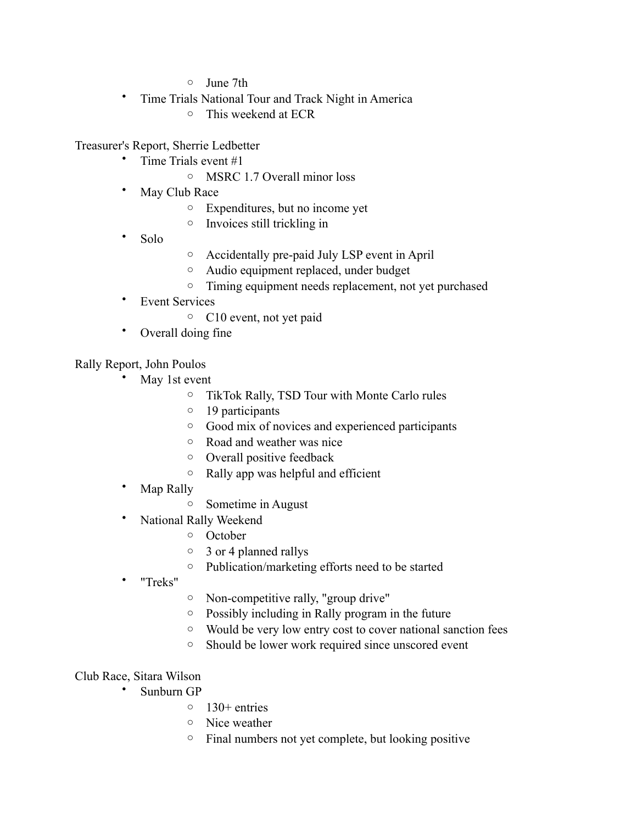- o June 7th
- Time Trials National Tour and Track Night in America
	- o This weekend at ECR

Treasurer's Report, Sherrie Ledbetter

- Time Trials event #1
	- o MSRC 1.7 Overall minor loss
- May Club Race
	- o Expenditures, but no income yet
	- o Invoices still trickling in
- Solo
- o Accidentally pre-paid July LSP event in April
- o Audio equipment replaced, under budget
- o Timing equipment needs replacement, not yet purchased
- Event Services
	- o C10 event, not yet paid
- Overall doing fine

Rally Report, John Poulos

- May 1st event
	- o TikTok Rally, TSD Tour with Monte Carlo rules
	- o 19 participants
	- o Good mix of novices and experienced participants
	- o Road and weather was nice
	- o Overall positive feedback
	- o Rally app was helpful and efficient
- Map Rally
	- o Sometime in August
- National Rally Weekend
	- o October
	- o 3 or 4 planned rallys
	- o Publication/marketing efforts need to be started
- "Treks"
- o Non-competitive rally, "group drive"
- o Possibly including in Rally program in the future
- o Would be very low entry cost to cover national sanction fees
- o Should be lower work required since unscored event

## Club Race, Sitara Wilson

- Sunburn GP
	- $\circ$  130+ entries
	- o Nice weather
	- o Final numbers not yet complete, but looking positive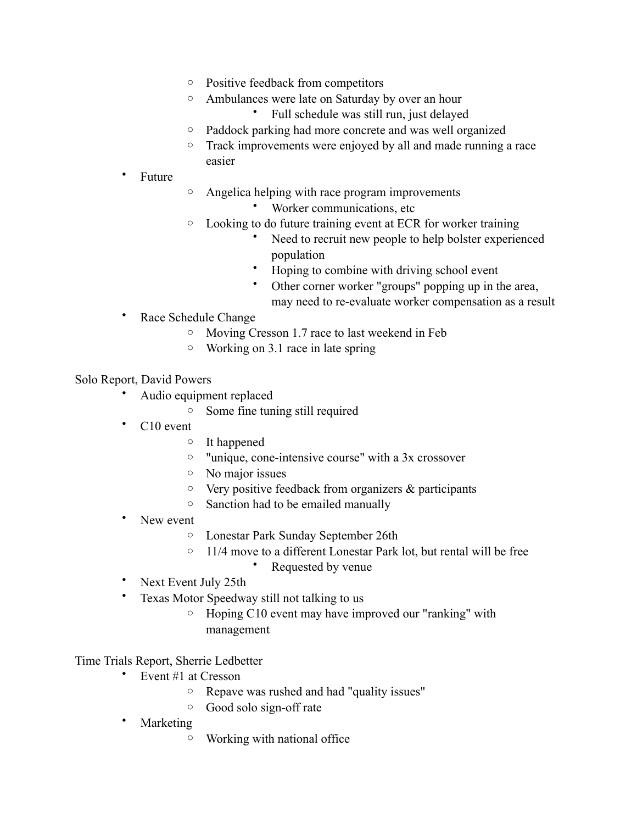- o Positive feedback from competitors
- o Ambulances were late on Saturday by over an hour

• Full schedule was still run, just delayed

- o Paddock parking had more concrete and was well organized
- o Track improvements were enjoyed by all and made running a race easier
- Future
- o Angelica helping with race program improvements
	- Worker communications, etc
- o Looking to do future training event at ECR for worker training
	- Need to recruit new people to help bolster experienced population
	- Hoping to combine with driving school event
	- Other corner worker "groups" popping up in the area, may need to re-evaluate worker compensation as a result
- Race Schedule Change
	- o Moving Cresson 1.7 race to last weekend in Feb
	- o Working on 3.1 race in late spring

#### Solo Report, David Powers

- Audio equipment replaced
	- o Some fine tuning still required
- C<sub>10</sub> event
	- o It happened
	- o "unique, cone-intensive course" with a 3x crossover
	- o No major issues
	- $\circ$  Very positive feedback from organizers & participants
	- o Sanction had to be emailed manually
- New event
	- o Lonestar Park Sunday September 26th
	- $\circ$  11/4 move to a different Lonestar Park lot, but rental will be free
		- Requested by venue
- Next Event July 25th
- Texas Motor Speedway still not talking to us
	- o Hoping C10 event may have improved our "ranking" with management

## Time Trials Report, Sherrie Ledbetter

- Event #1 at Cresson
	- o Repave was rushed and had "quality issues"
	- o Good solo sign-off rate
- **Marketing** 
	- o Working with national office